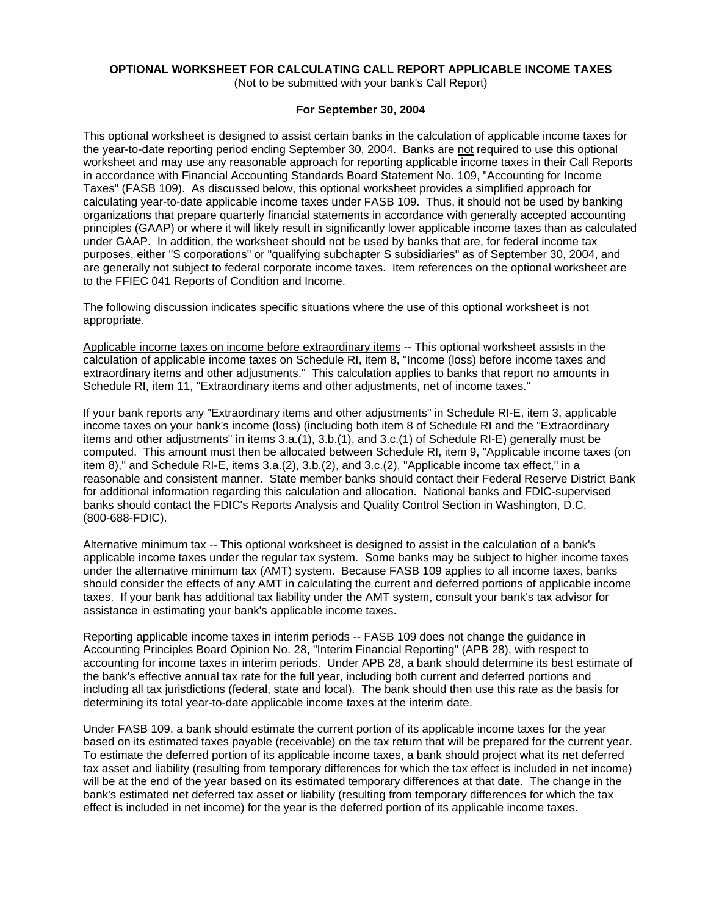# **OPTIONAL WORKSHEET FOR CALCULATING CALL REPORT APPLICABLE INCOME TAXES**

(Not to be submitted with your bank's Call Report)

### **For September 30, 2004**

This optional worksheet is designed to assist certain banks in the calculation of applicable income taxes for the year-to-date reporting period ending September 30, 2004. Banks are not required to use this optional worksheet and may use any reasonable approach for reporting applicable income taxes in their Call Reports in accordance with Financial Accounting Standards Board Statement No. 109, "Accounting for Income Taxes" (FASB 109). As discussed below, this optional worksheet provides a simplified approach for calculating year-to-date applicable income taxes under FASB 109. Thus, it should not be used by banking organizations that prepare quarterly financial statements in accordance with generally accepted accounting principles (GAAP) or where it will likely result in significantly lower applicable income taxes than as calculated under GAAP. In addition, the worksheet should not be used by banks that are, for federal income tax purposes, either "S corporations" or "qualifying subchapter S subsidiaries" as of September 30, 2004, and are generally not subject to federal corporate income taxes. Item references on the optional worksheet are to the FFIEC 041 Reports of Condition and Income.

The following discussion indicates specific situations where the use of this optional worksheet is not appropriate.

Applicable income taxes on income before extraordinary items -- This optional worksheet assists in the calculation of applicable income taxes on Schedule RI, item 8, "Income (loss) before income taxes and extraordinary items and other adjustments." This calculation applies to banks that report no amounts in Schedule RI, item 11, "Extraordinary items and other adjustments, net of income taxes."

If your bank reports any "Extraordinary items and other adjustments" in Schedule RI-E, item 3, applicable income taxes on your bank's income (loss) (including both item 8 of Schedule RI and the "Extraordinary items and other adjustments" in items 3.a.(1), 3.b.(1), and 3.c.(1) of Schedule RI-E) generally must be computed. This amount must then be allocated between Schedule RI, item 9, "Applicable income taxes (on item 8)," and Schedule RI-E, items 3.a.(2), 3.b.(2), and 3.c.(2), "Applicable income tax effect," in a reasonable and consistent manner. State member banks should contact their Federal Reserve District Bank for additional information regarding this calculation and allocation. National banks and FDIC-supervised banks should contact the FDIC's Reports Analysis and Quality Control Section in Washington, D.C. (800-688-FDIC).

Alternative minimum tax -- This optional worksheet is designed to assist in the calculation of a bank's applicable income taxes under the regular tax system. Some banks may be subject to higher income taxes under the alternative minimum tax (AMT) system. Because FASB 109 applies to all income taxes, banks should consider the effects of any AMT in calculating the current and deferred portions of applicable income taxes. If your bank has additional tax liability under the AMT system, consult your bank's tax advisor for assistance in estimating your bank's applicable income taxes.

Reporting applicable income taxes in interim periods -- FASB 109 does not change the guidance in Accounting Principles Board Opinion No. 28, "Interim Financial Reporting" (APB 28), with respect to accounting for income taxes in interim periods. Under APB 28, a bank should determine its best estimate of the bank's effective annual tax rate for the full year, including both current and deferred portions and including all tax jurisdictions (federal, state and local). The bank should then use this rate as the basis for determining its total year-to-date applicable income taxes at the interim date.

Under FASB 109, a bank should estimate the current portion of its applicable income taxes for the year based on its estimated taxes payable (receivable) on the tax return that will be prepared for the current year. To estimate the deferred portion of its applicable income taxes, a bank should project what its net deferred tax asset and liability (resulting from temporary differences for which the tax effect is included in net income) will be at the end of the year based on its estimated temporary differences at that date. The change in the bank's estimated net deferred tax asset or liability (resulting from temporary differences for which the tax effect is included in net income) for the year is the deferred portion of its applicable income taxes.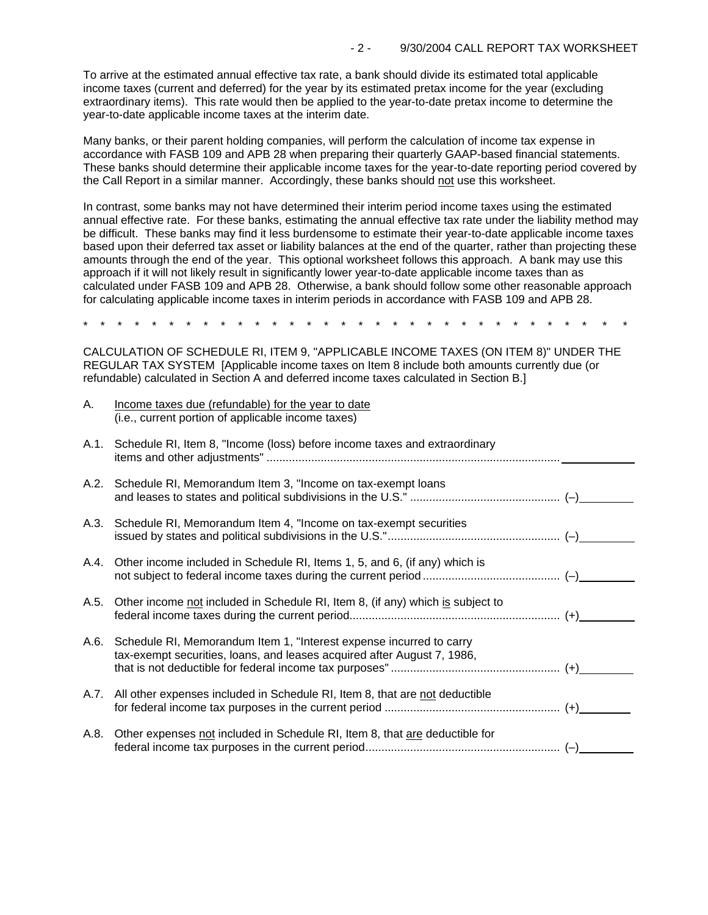To arrive at the estimated annual effective tax rate, a bank should divide its estimated total applicable income taxes (current and deferred) for the year by its estimated pretax income for the year (excluding extraordinary items). This rate would then be applied to the year-to-date pretax income to determine the year-to-date applicable income taxes at the interim date.

Many banks, or their parent holding companies, will perform the calculation of income tax expense in accordance with FASB 109 and APB 28 when preparing their quarterly GAAP-based financial statements. These banks should determine their applicable income taxes for the year-to-date reporting period covered by the Call Report in a similar manner. Accordingly, these banks should not use this worksheet.

In contrast, some banks may not have determined their interim period income taxes using the estimated annual effective rate. For these banks, estimating the annual effective tax rate under the liability method may be difficult. These banks may find it less burdensome to estimate their year-to-date applicable income taxes based upon their deferred tax asset or liability balances at the end of the quarter, rather than projecting these amounts through the end of the year. This optional worksheet follows this approach. A bank may use this approach if it will not likely result in significantly lower year-to-date applicable income taxes than as calculated under FASB 109 and APB 28. Otherwise, a bank should follow some other reasonable approach for calculating applicable income taxes in interim periods in accordance with FASB 109 and APB 28.

\* \* \* \* \* \* \* \* \* \* \* \* \* \* \* \* \* \* \* \* \* \* \* \* \* \* \* \* \* \* \* \*

CALCULATION OF SCHEDULE RI, ITEM 9, "APPLICABLE INCOME TAXES (ON ITEM 8)" UNDER THE REGULAR TAX SYSTEM [Applicable income taxes on Item 8 include both amounts currently due (or refundable) calculated in Section A and deferred income taxes calculated in Section B.]

| А.   | Income taxes due (refundable) for the year to date<br>(i.e., current portion of applicable income taxes)                                            |  |
|------|-----------------------------------------------------------------------------------------------------------------------------------------------------|--|
|      | A.1. Schedule RI, Item 8, "Income (loss) before income taxes and extraordinary                                                                      |  |
|      | A.2. Schedule RI, Memorandum Item 3, "Income on tax-exempt loans                                                                                    |  |
|      | A.3. Schedule RI, Memorandum Item 4, "Income on tax-exempt securities                                                                               |  |
|      | A.4. Other income included in Schedule RI, Items 1, 5, and 6, (if any) which is                                                                     |  |
| A.5. | Other income not included in Schedule RI, Item 8, (if any) which is subject to                                                                      |  |
|      | A.6. Schedule RI, Memorandum Item 1, "Interest expense incurred to carry<br>tax-exempt securities, loans, and leases acquired after August 7, 1986, |  |
|      | A.7. All other expenses included in Schedule RI, Item 8, that are not deductible                                                                    |  |
| A.8. | Other expenses not included in Schedule RI, Item 8, that are deductible for                                                                         |  |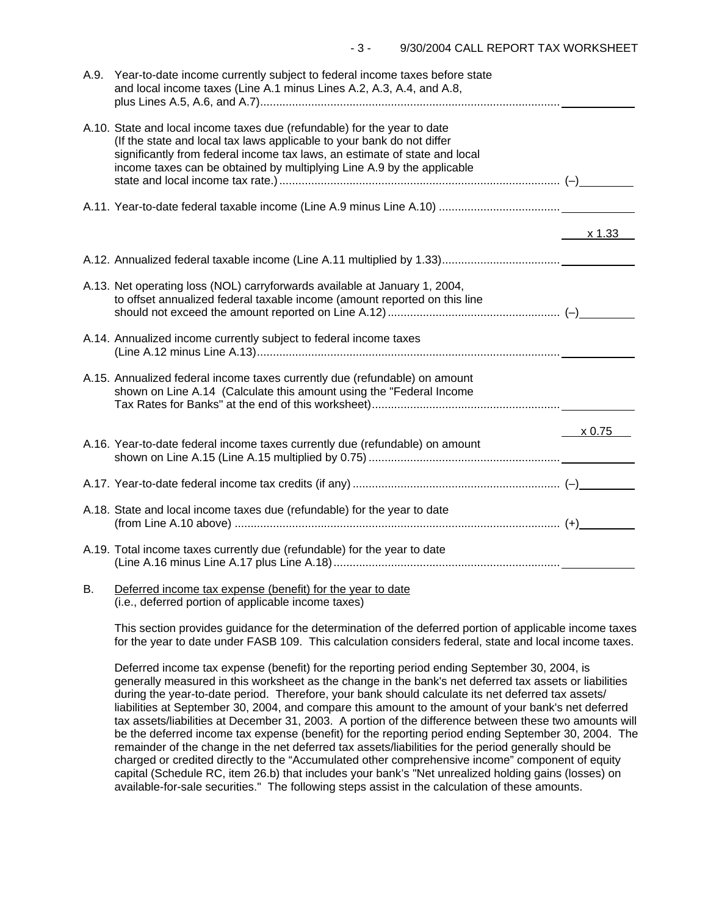| A.9. | Year-to-date income currently subject to federal income taxes before state<br>and local income taxes (Line A.1 minus Lines A.2, A.3, A.4, and A.8,                                                                                                                                                         |        |
|------|------------------------------------------------------------------------------------------------------------------------------------------------------------------------------------------------------------------------------------------------------------------------------------------------------------|--------|
|      | A.10. State and local income taxes due (refundable) for the year to date<br>(If the state and local tax laws applicable to your bank do not differ<br>significantly from federal income tax laws, an estimate of state and local<br>income taxes can be obtained by multiplying Line A.9 by the applicable |        |
|      |                                                                                                                                                                                                                                                                                                            |        |
|      |                                                                                                                                                                                                                                                                                                            | x 1.33 |
|      |                                                                                                                                                                                                                                                                                                            |        |
|      | A.13. Net operating loss (NOL) carryforwards available at January 1, 2004,<br>to offset annualized federal taxable income (amount reported on this line                                                                                                                                                    |        |
|      | A.14. Annualized income currently subject to federal income taxes                                                                                                                                                                                                                                          |        |
|      | A.15. Annualized federal income taxes currently due (refundable) on amount<br>shown on Line A.14 (Calculate this amount using the "Federal Income                                                                                                                                                          |        |
|      |                                                                                                                                                                                                                                                                                                            | x 0.75 |
|      | A.16. Year-to-date federal income taxes currently due (refundable) on amount                                                                                                                                                                                                                               |        |
|      |                                                                                                                                                                                                                                                                                                            |        |
|      | A.18. State and local income taxes due (refundable) for the year to date                                                                                                                                                                                                                                   |        |
|      | A.19. Total income taxes currently due (refundable) for the year to date                                                                                                                                                                                                                                   |        |
| В.   | Deferred income tax expense (benefit) for the year to date                                                                                                                                                                                                                                                 |        |

(i.e., deferred portion of applicable income taxes)

This section provides guidance for the determination of the deferred portion of applicable income taxes for the year to date under FASB 109. This calculation considers federal, state and local income taxes.

Deferred income tax expense (benefit) for the reporting period ending September 30, 2004, is generally measured in this worksheet as the change in the bank's net deferred tax assets or liabilities during the year-to-date period. Therefore, your bank should calculate its net deferred tax assets/ liabilities at September 30, 2004, and compare this amount to the amount of your bank's net deferred tax assets/liabilities at December 31, 2003. A portion of the difference between these two amounts will be the deferred income tax expense (benefit) for the reporting period ending September 30, 2004. The remainder of the change in the net deferred tax assets/liabilities for the period generally should be charged or credited directly to the "Accumulated other comprehensive income" component of equity capital (Schedule RC, item 26.b) that includes your bank's "Net unrealized holding gains (losses) on available-for-sale securities." The following steps assist in the calculation of these amounts.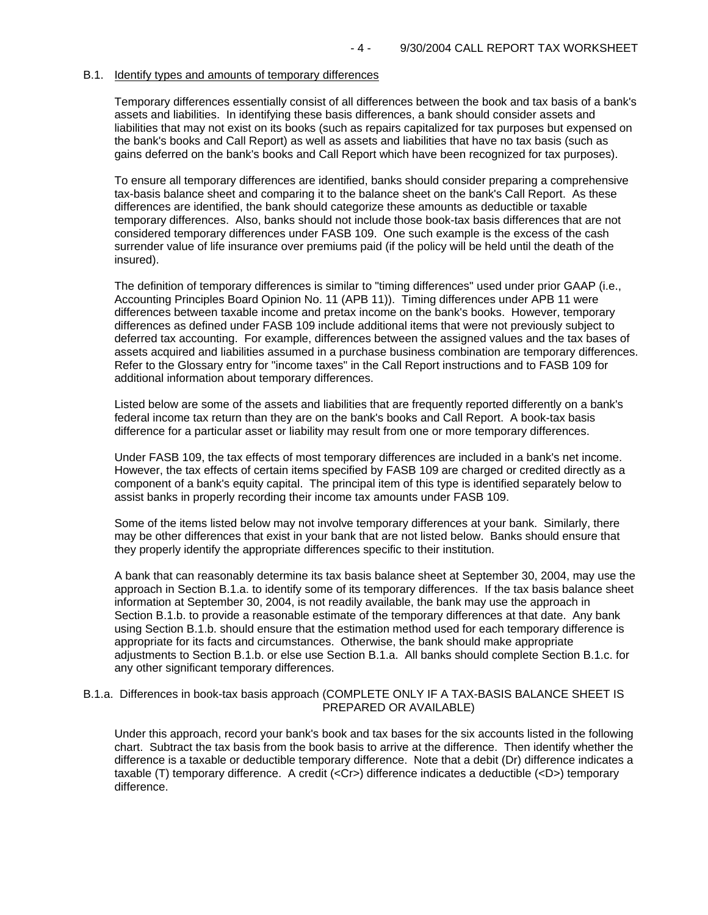#### B.1. Identify types and amounts of temporary differences

Temporary differences essentially consist of all differences between the book and tax basis of a bank's assets and liabilities. In identifying these basis differences, a bank should consider assets and liabilities that may not exist on its books (such as repairs capitalized for tax purposes but expensed on the bank's books and Call Report) as well as assets and liabilities that have no tax basis (such as gains deferred on the bank's books and Call Report which have been recognized for tax purposes).

To ensure all temporary differences are identified, banks should consider preparing a comprehensive tax-basis balance sheet and comparing it to the balance sheet on the bank's Call Report. As these differences are identified, the bank should categorize these amounts as deductible or taxable temporary differences. Also, banks should not include those book-tax basis differences that are not considered temporary differences under FASB 109. One such example is the excess of the cash surrender value of life insurance over premiums paid (if the policy will be held until the death of the insured).

The definition of temporary differences is similar to "timing differences" used under prior GAAP (i.e., Accounting Principles Board Opinion No. 11 (APB 11)). Timing differences under APB 11 were differences between taxable income and pretax income on the bank's books. However, temporary differences as defined under FASB 109 include additional items that were not previously subject to deferred tax accounting. For example, differences between the assigned values and the tax bases of assets acquired and liabilities assumed in a purchase business combination are temporary differences. Refer to the Glossary entry for "income taxes" in the Call Report instructions and to FASB 109 for additional information about temporary differences.

Listed below are some of the assets and liabilities that are frequently reported differently on a bank's federal income tax return than they are on the bank's books and Call Report. A book-tax basis difference for a particular asset or liability may result from one or more temporary differences.

Under FASB 109, the tax effects of most temporary differences are included in a bank's net income. However, the tax effects of certain items specified by FASB 109 are charged or credited directly as a component of a bank's equity capital. The principal item of this type is identified separately below to assist banks in properly recording their income tax amounts under FASB 109.

Some of the items listed below may not involve temporary differences at your bank. Similarly, there may be other differences that exist in your bank that are not listed below. Banks should ensure that they properly identify the appropriate differences specific to their institution.

A bank that can reasonably determine its tax basis balance sheet at September 30, 2004, may use the approach in Section B.1.a. to identify some of its temporary differences. If the tax basis balance sheet information at September 30, 2004, is not readily available, the bank may use the approach in Section B.1.b. to provide a reasonable estimate of the temporary differences at that date. Any bank using Section B.1.b. should ensure that the estimation method used for each temporary difference is appropriate for its facts and circumstances. Otherwise, the bank should make appropriate adjustments to Section B.1.b. or else use Section B.1.a. All banks should complete Section B.1.c. for any other significant temporary differences.

### B.1.a. Differences in book-tax basis approach (COMPLETE ONLY IF A TAX-BASIS BALANCE SHEET IS PREPARED OR AVAILABLE)

Under this approach, record your bank's book and tax bases for the six accounts listed in the following chart. Subtract the tax basis from the book basis to arrive at the difference. Then identify whether the difference is a taxable or deductible temporary difference. Note that a debit (Dr) difference indicates a taxable (T) temporary difference. A credit (<Cr>) difference indicates a deductible (<D>) temporary difference.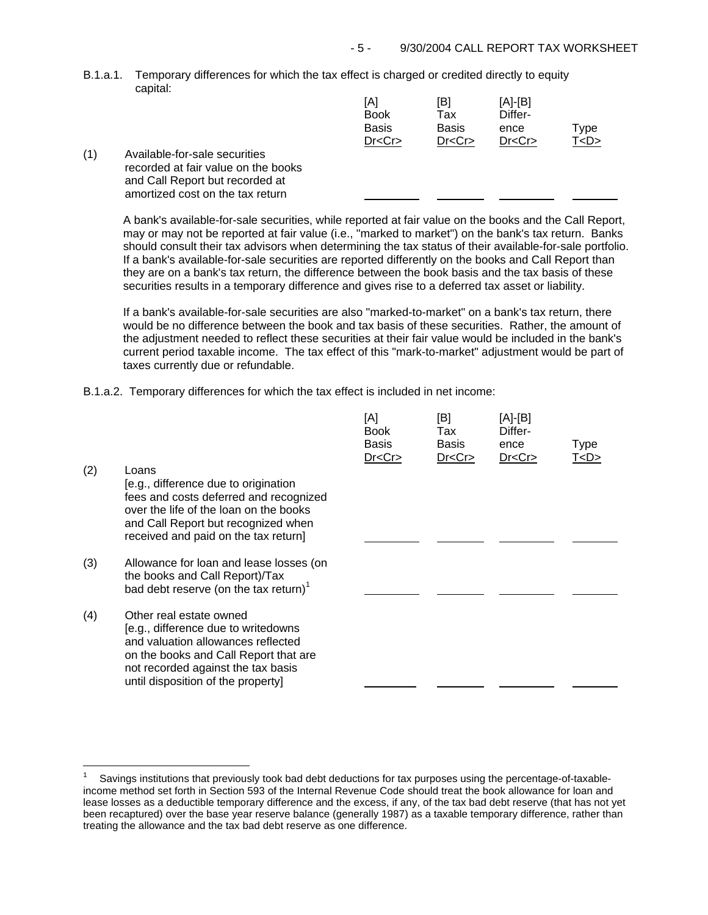B.1.a.1. Temporary differences for which the tax effect is charged or credited directly to equity capital:

|     |                                     | [A]<br><b>Book</b> | [B]<br>Tax   | [A]-[B]<br>Differ- |           |
|-----|-------------------------------------|--------------------|--------------|--------------------|-----------|
|     |                                     | <b>Basis</b>       | <b>Basis</b> | ence               | Type      |
|     |                                     | Dr < Cr            | Dr < Cr      | Dr < Cr            | T <d></d> |
| (1) | Available-for-sale securities       |                    |              |                    |           |
|     | recorded at fair value on the books |                    |              |                    |           |
|     | and Call Report but recorded at     |                    |              |                    |           |
|     | amortized cost on the tax return    |                    |              |                    |           |

A bank's available-for-sale securities, while reported at fair value on the books and the Call Report, may or may not be reported at fair value (i.e., "marked to market") on the bank's tax return. Banks should consult their tax advisors when determining the tax status of their available-for-sale portfolio. If a bank's available-for-sale securities are reported differently on the books and Call Report than they are on a bank's tax return, the difference between the book basis and the tax basis of these securities results in a temporary difference and gives rise to a deferred tax asset or liability.

If a bank's available-for-sale securities are also "marked-to-market" on a bank's tax return, there would be no difference between the book and tax basis of these securities. Rather, the amount of the adjustment needed to reflect these securities at their fair value would be included in the bank's current period taxable income. The tax effect of this "mark-to-market" adjustment would be part of taxes currently due or refundable.

B.1.a.2. Temporary differences for which the tax effect is included in net income:

| (2) | Loans<br>[e.g., difference due to origination<br>fees and costs deferred and recognized<br>over the life of the loan on the books<br>and Call Report but recognized when<br>received and paid on the tax return]          | [A]<br><b>Book</b><br>Basis<br>Dr < Cr | [B]<br>Tax<br>Basis<br>Dr < Cr | [A]-[B]<br>Differ-<br>ence<br>Dr < Cr | <b>Type</b><br>T <d></d> |
|-----|---------------------------------------------------------------------------------------------------------------------------------------------------------------------------------------------------------------------------|----------------------------------------|--------------------------------|---------------------------------------|--------------------------|
| (3) | Allowance for loan and lease losses (on<br>the books and Call Report)/Tax<br>bad debt reserve (on the tax return) $1$                                                                                                     |                                        |                                |                                       |                          |
| (4) | Other real estate owned<br>[e.g., difference due to writedowns<br>and valuation allowances reflected<br>on the books and Call Report that are<br>not recorded against the tax basis<br>until disposition of the property] |                                        |                                |                                       |                          |

J.

Savings institutions that previously took bad debt deductions for tax purposes using the percentage-of-taxableincome method set forth in Section 593 of the Internal Revenue Code should treat the book allowance for loan and lease losses as a deductible temporary difference and the excess, if any, of the tax bad debt reserve (that has not yet been recaptured) over the base year reserve balance (generally 1987) as a taxable temporary difference, rather than treating the allowance and the tax bad debt reserve as one difference. 1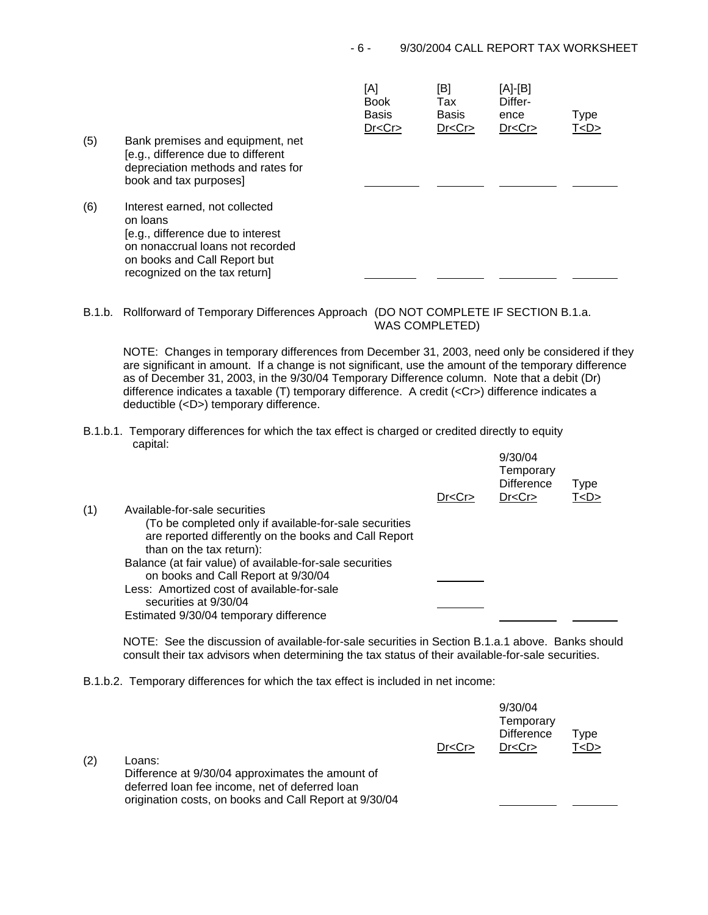| (5) | Bank premises and equipment, net<br>[e.g., difference due to different<br>depreciation methods and rates for<br>book and tax purposes]                                               | [A]<br><b>Book</b><br><b>Basis</b><br>Dr < Cr | [B]<br>Tax<br><b>Basis</b><br>Dr < Cr | [A]-[B]<br>Differ-<br>ence<br>Dr < Cr | Type<br>T <d></d> |
|-----|--------------------------------------------------------------------------------------------------------------------------------------------------------------------------------------|-----------------------------------------------|---------------------------------------|---------------------------------------|-------------------|
| (6) | Interest earned, not collected<br>on loans<br>[e.g., difference due to interest<br>on nonaccrual loans not recorded<br>on books and Call Report but<br>recognized on the tax return] |                                               |                                       |                                       |                   |

B.1.b. Rollforward of Temporary Differences Approach (DO NOT COMPLETE IF SECTION B.1.a. WAS COMPLETED)

NOTE: Changes in temporary differences from December 31, 2003, need only be considered if they are significant in amount. If a change is not significant, use the amount of the temporary difference as of December 31, 2003, in the 9/30/04 Temporary Difference column. Note that a debit (Dr) difference indicates a taxable (T) temporary difference. A credit (<Cr>) difference indicates a deductible (<D>) temporary difference.

B.1.b.1. Temporary differences for which the tax effect is charged or credited directly to equity capital: 9/30/04

|     |                                                                                                                                             | Dr < Cr | 9/30/04<br>Temporary<br><b>Difference</b><br>Dr < Cr | Type<br>T <d></d> |
|-----|---------------------------------------------------------------------------------------------------------------------------------------------|---------|------------------------------------------------------|-------------------|
| (1) | Available-for-sale securities                                                                                                               |         |                                                      |                   |
|     | (To be completed only if available-for-sale securities<br>are reported differently on the books and Call Report<br>than on the tax return): |         |                                                      |                   |
|     | Balance (at fair value) of available-for-sale securities<br>on books and Call Report at 9/30/04                                             |         |                                                      |                   |
|     | Less: Amortized cost of available-for-sale<br>securities at 9/30/04                                                                         |         |                                                      |                   |
|     | Estimated 9/30/04 temporary difference                                                                                                      |         |                                                      |                   |

NOTE: See the discussion of available-for-sale securities in Section B.1.a.1 above. Banks should consult their tax advisors when determining the tax status of their available-for-sale securities.

B.1.b.2. Temporary differences for which the tax effect is included in net income:

| (2) | Loans:<br>Difference at 9/30/04 approximates the amount of<br>deferred loan fee income, net of deferred loan<br>origination costs, on books and Call Report at 9/30/04 | Dr < Cr | 9/30/04<br>Temporary<br><b>Difference</b><br>Dr < Cr | Type<br>T < D > |  |
|-----|------------------------------------------------------------------------------------------------------------------------------------------------------------------------|---------|------------------------------------------------------|-----------------|--|
|     |                                                                                                                                                                        |         |                                                      |                 |  |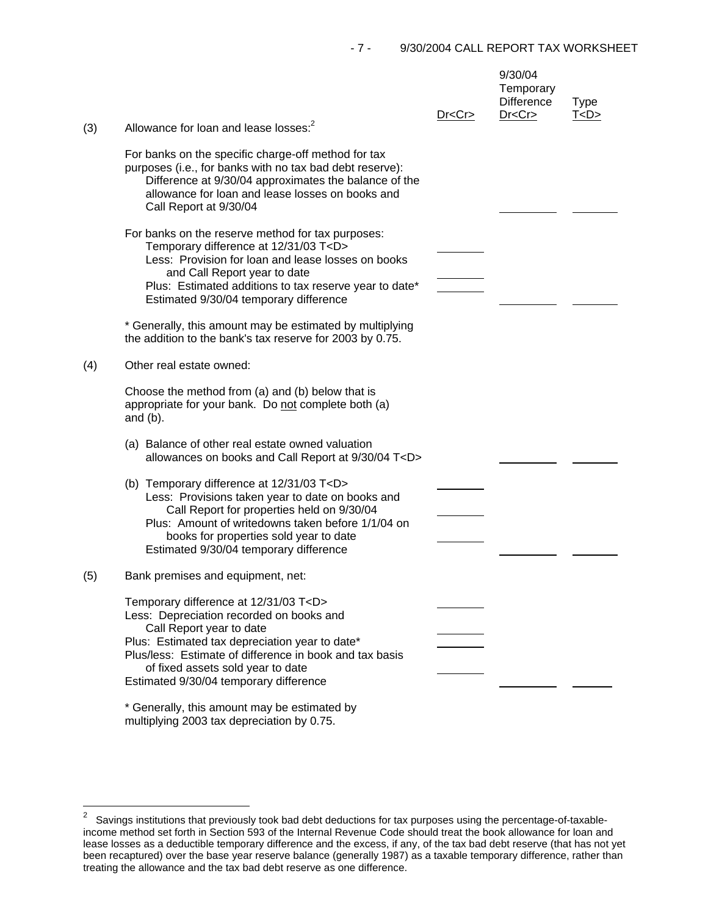| (3) | Allowance for loan and lease losses: <sup>2</sup>                                                                                                                                                                                                                                                                                                                                                                       | Dr < Cr | 9/30/04<br>Temporary<br><b>Difference</b><br>Dr < Cr | <b>Type</b><br>T < D > |
|-----|-------------------------------------------------------------------------------------------------------------------------------------------------------------------------------------------------------------------------------------------------------------------------------------------------------------------------------------------------------------------------------------------------------------------------|---------|------------------------------------------------------|------------------------|
|     | For banks on the specific charge-off method for tax<br>purposes (i.e., for banks with no tax bad debt reserve):<br>Difference at 9/30/04 approximates the balance of the<br>allowance for loan and lease losses on books and<br>Call Report at 9/30/04                                                                                                                                                                  |         |                                                      |                        |
|     | For banks on the reserve method for tax purposes:<br>Temporary difference at 12/31/03 T <d><br/>Less: Provision for loan and lease losses on books<br/>and Call Report year to date<br/>Plus: Estimated additions to tax reserve year to date*<br/>Estimated 9/30/04 temporary difference<br/>* Generally, this amount may be estimated by multiplying<br/>the addition to the bank's tax reserve for 2003 by 0.75.</d> |         |                                                      |                        |
| (4) | Other real estate owned:                                                                                                                                                                                                                                                                                                                                                                                                |         |                                                      |                        |
|     | Choose the method from (a) and (b) below that is<br>appropriate for your bank. Do not complete both (a)<br>and $(b)$ .                                                                                                                                                                                                                                                                                                  |         |                                                      |                        |
|     | (a) Balance of other real estate owned valuation<br>allowances on books and Call Report at 9/30/04 T <d></d>                                                                                                                                                                                                                                                                                                            |         |                                                      |                        |
|     | (b) Temporary difference at 12/31/03 T <d><br/>Less: Provisions taken year to date on books and<br/>Call Report for properties held on 9/30/04<br/>Plus: Amount of writedowns taken before 1/1/04 on<br/>books for properties sold year to date<br/>Estimated 9/30/04 temporary difference</d>                                                                                                                          |         |                                                      |                        |
| (5) | Bank premises and equipment, net:                                                                                                                                                                                                                                                                                                                                                                                       |         |                                                      |                        |
|     | Temporary difference at 12/31/03 T <d><br/>Less: Depreciation recorded on books and<br/>Call Report year to date<br/>Plus: Estimated tax depreciation year to date*<br/>Plus/less: Estimate of difference in book and tax basis<br/>of fixed assets sold year to date<br/>Estimated 9/30/04 temporary difference</d>                                                                                                    |         |                                                      |                        |
|     | * Generally, this amount may be estimated by                                                                                                                                                                                                                                                                                                                                                                            |         |                                                      |                        |

multiplying 2003 tax depreciation by 0.75.

J.

 2 Savings institutions that previously took bad debt deductions for tax purposes using the percentage-of-taxableincome method set forth in Section 593 of the Internal Revenue Code should treat the book allowance for loan and lease losses as a deductible temporary difference and the excess, if any, of the tax bad debt reserve (that has not yet been recaptured) over the base year reserve balance (generally 1987) as a taxable temporary difference, rather than treating the allowance and the tax bad debt reserve as one difference.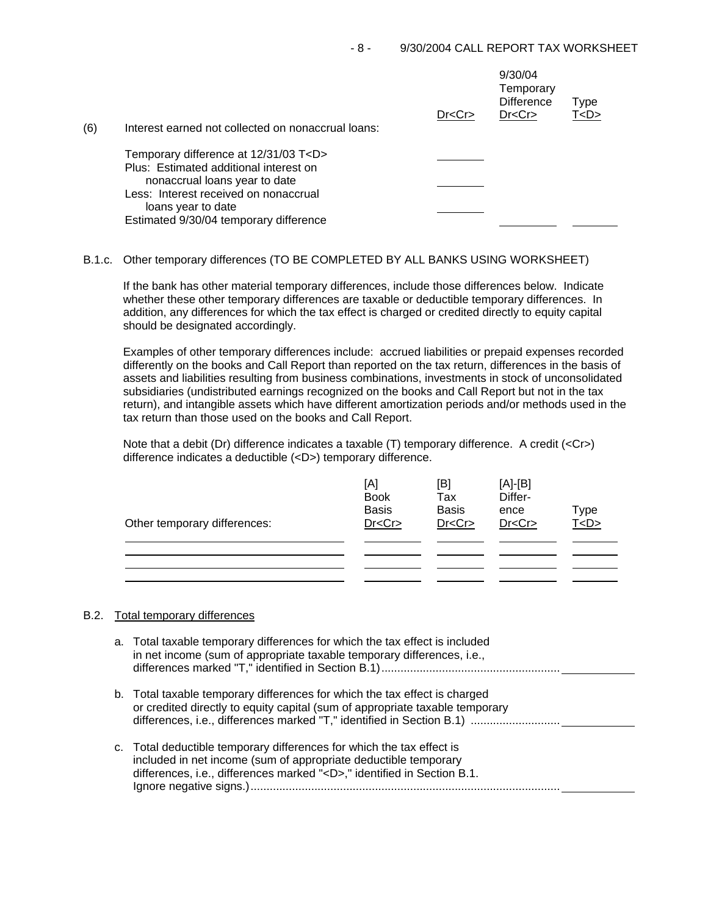| (6) | Interest earned not collected on nonaccrual loans: | Dr < Cr | 9/30/04<br>Temporary<br><b>Difference</b><br>Dr < Cr | Type<br>T <d></d> |  |
|-----|----------------------------------------------------|---------|------------------------------------------------------|-------------------|--|
|     | Temporary difference at 12/31/03 T <d></d>         |         |                                                      |                   |  |
|     | Plus: Estimated additional interest on             |         |                                                      |                   |  |
|     | nonaccrual loans year to date                      |         |                                                      |                   |  |
|     | Less: Interest received on nonaccrual              |         |                                                      |                   |  |
|     | loans year to date                                 |         |                                                      |                   |  |
|     | Estimated 9/30/04 temporary difference             |         |                                                      |                   |  |

# B.1.c. Other temporary differences (TO BE COMPLETED BY ALL BANKS USING WORKSHEET)

If the bank has other material temporary differences, include those differences below. Indicate whether these other temporary differences are taxable or deductible temporary differences. In addition, any differences for which the tax effect is charged or credited directly to equity capital should be designated accordingly.

Examples of other temporary differences include: accrued liabilities or prepaid expenses recorded differently on the books and Call Report than reported on the tax return, differences in the basis of assets and liabilities resulting from business combinations, investments in stock of unconsolidated subsidiaries (undistributed earnings recognized on the books and Call Report but not in the tax return), and intangible assets which have different amortization periods and/or methods used in the tax return than those used on the books and Call Report.

Note that a debit (Dr) difference indicates a taxable (T) temporary difference. A credit (<Cr>) difference indicates a deductible (<D>) temporary difference.

| Other temporary differences: | [A]<br><b>Book</b><br><b>Basis</b><br>Dr < Cr | [B]<br>Tax<br><b>Basis</b><br>Dr < Cr | $[A]-[B]$<br>Differ-<br>ence<br>Dr < Cr | Type<br><u>T<d></d></u> |
|------------------------------|-----------------------------------------------|---------------------------------------|-----------------------------------------|-------------------------|
|                              |                                               |                                       |                                         |                         |

### B.2. Total temporary differences

| a. Total taxable temporary differences for which the tax effect is included<br>in net income (sum of appropriate taxable temporary differences, i.e.,                                                                    |
|--------------------------------------------------------------------------------------------------------------------------------------------------------------------------------------------------------------------------|
| b. Total taxable temporary differences for which the tax effect is charged<br>or credited directly to equity capital (sum of appropriate taxable temporary                                                               |
| c. Total deductible temporary differences for which the tax effect is<br>included in net income (sum of appropriate deductible temporary<br>differences, i.e., differences marked " <d>," identified in Section B.1.</d> |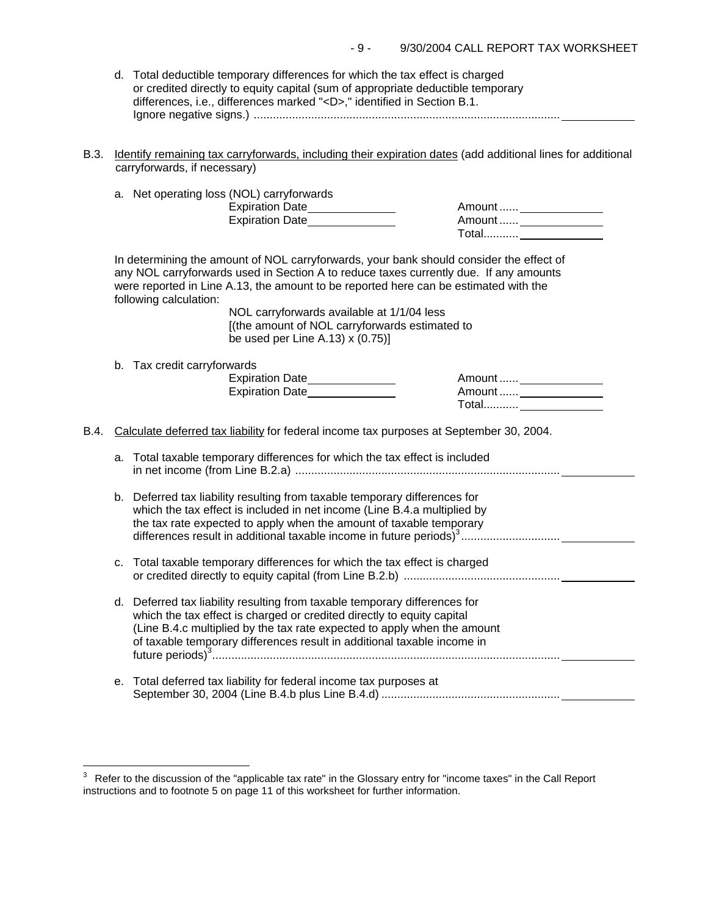| 9/30/2004 CALL REPORT TAX WORKSHEET<br>- 9 - |
|----------------------------------------------|
|----------------------------------------------|

| d. Total deductible temporary differences for which the tax effect is charged   |
|---------------------------------------------------------------------------------|
| or credited directly to equity capital (sum of appropriate deductible temporary |
| differences. i.e., differences marked " <d>." identified in Section B.1.</d>    |
|                                                                                 |

B.3. Identify remaining tax carryforwards, including their expiration dates (add additional lines for additional carryforwards, if necessary)

|      |    | a. Net operating loss (NOL) carryforwards<br>Expiration Date_______________<br>Expiration Date                                                                                                                                                                                                                                                                                                                                                | Amount  ________________<br>Amount  ________________ |  |
|------|----|-----------------------------------------------------------------------------------------------------------------------------------------------------------------------------------------------------------------------------------------------------------------------------------------------------------------------------------------------------------------------------------------------------------------------------------------------|------------------------------------------------------|--|
|      |    | In determining the amount of NOL carryforwards, your bank should consider the effect of<br>any NOL carryforwards used in Section A to reduce taxes currently due. If any amounts<br>were reported in Line A.13, the amount to be reported here can be estimated with the<br>following calculation:<br>NOL carryforwards available at 1/1/04 less<br>[(the amount of NOL carryforwards estimated to<br>be used per Line A.13) $\times$ (0.75)] |                                                      |  |
|      |    | b. Tax credit carryforwards<br>Expiration Date______________<br>Expiration Date                                                                                                                                                                                                                                                                                                                                                               |                                                      |  |
| B.4. |    | Calculate deferred tax liability for federal income tax purposes at September 30, 2004.                                                                                                                                                                                                                                                                                                                                                       |                                                      |  |
|      | а. | Total taxable temporary differences for which the tax effect is included                                                                                                                                                                                                                                                                                                                                                                      |                                                      |  |
|      |    | b. Deferred tax liability resulting from taxable temporary differences for<br>which the tax effect is included in net income (Line B.4.a multiplied by<br>the tax rate expected to apply when the amount of taxable temporary                                                                                                                                                                                                                 |                                                      |  |
|      | C. | Total taxable temporary differences for which the tax effect is charged                                                                                                                                                                                                                                                                                                                                                                       |                                                      |  |
|      | d. | Deferred tax liability resulting from taxable temporary differences for<br>which the tax effect is charged or credited directly to equity capital<br>(Line B.4.c multiplied by the tax rate expected to apply when the amount<br>of taxable temporary differences result in additional taxable income in                                                                                                                                      |                                                      |  |
|      |    | e. Total deferred tax liability for federal income tax purposes at                                                                                                                                                                                                                                                                                                                                                                            |                                                      |  |
|      |    |                                                                                                                                                                                                                                                                                                                                                                                                                                               |                                                      |  |

j.

 $3$  Refer to the discussion of the "applicable tax rate" in the Glossary entry for "income taxes" in the Call Report instructions and to footnote 5 on page 11 of this worksheet for further information.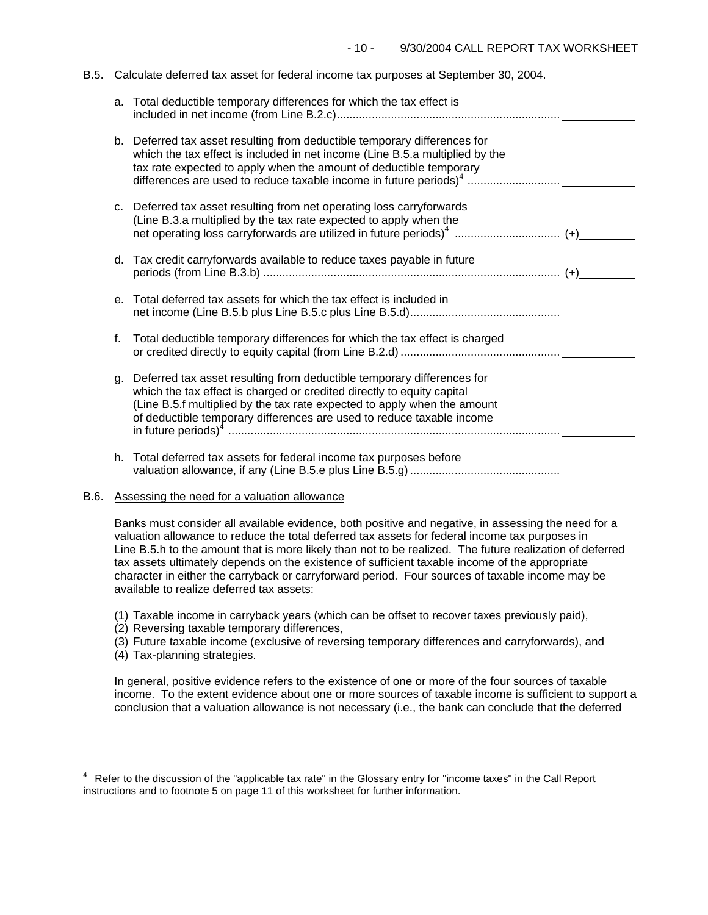#### B.5. Calculate deferred tax asset for federal income tax purposes at September 30, 2004.

|    | a. Total deductible temporary differences for which the tax effect is                                                                                                                                                                                                                                 |
|----|-------------------------------------------------------------------------------------------------------------------------------------------------------------------------------------------------------------------------------------------------------------------------------------------------------|
|    | b. Deferred tax asset resulting from deductible temporary differences for<br>which the tax effect is included in net income (Line B.5.a multiplied by the<br>tax rate expected to apply when the amount of deductible temporary                                                                       |
|    | c. Deferred tax asset resulting from net operating loss carryforwards<br>(Line B.3.a multiplied by the tax rate expected to apply when the                                                                                                                                                            |
|    | d. Tax credit carryforwards available to reduce taxes payable in future                                                                                                                                                                                                                               |
|    | e. Total deferred tax assets for which the tax effect is included in                                                                                                                                                                                                                                  |
| f. | Total deductible temporary differences for which the tax effect is charged                                                                                                                                                                                                                            |
| g. | Deferred tax asset resulting from deductible temporary differences for<br>which the tax effect is charged or credited directly to equity capital<br>(Line B.5.f multiplied by the tax rate expected to apply when the amount<br>of deductible temporary differences are used to reduce taxable income |
|    | h. Total deferred tax assets for federal income tax purposes before                                                                                                                                                                                                                                   |

## B.6. Assessing the need for a valuation allowance

Banks must consider all available evidence, both positive and negative, in assessing the need for a valuation allowance to reduce the total deferred tax assets for federal income tax purposes in Line B.5.h to the amount that is more likely than not to be realized. The future realization of deferred tax assets ultimately depends on the existence of sufficient taxable income of the appropriate character in either the carryback or carryforward period. Four sources of taxable income may be available to realize deferred tax assets:

- (1) Taxable income in carryback years (which can be offset to recover taxes previously paid),
- (2) Reversing taxable temporary differences,
- (3) Future taxable income (exclusive of reversing temporary differences and carryforwards), and
- (4) Tax-planning strategies.

J.

In general, positive evidence refers to the existence of one or more of the four sources of taxable income. To the extent evidence about one or more sources of taxable income is sufficient to support a conclusion that a valuation allowance is not necessary (i.e., the bank can conclude that the deferred

<sup>4</sup> Refer to the discussion of the "applicable tax rate" in the Glossary entry for "income taxes" in the Call Report instructions and to footnote 5 on page 11 of this worksheet for further information.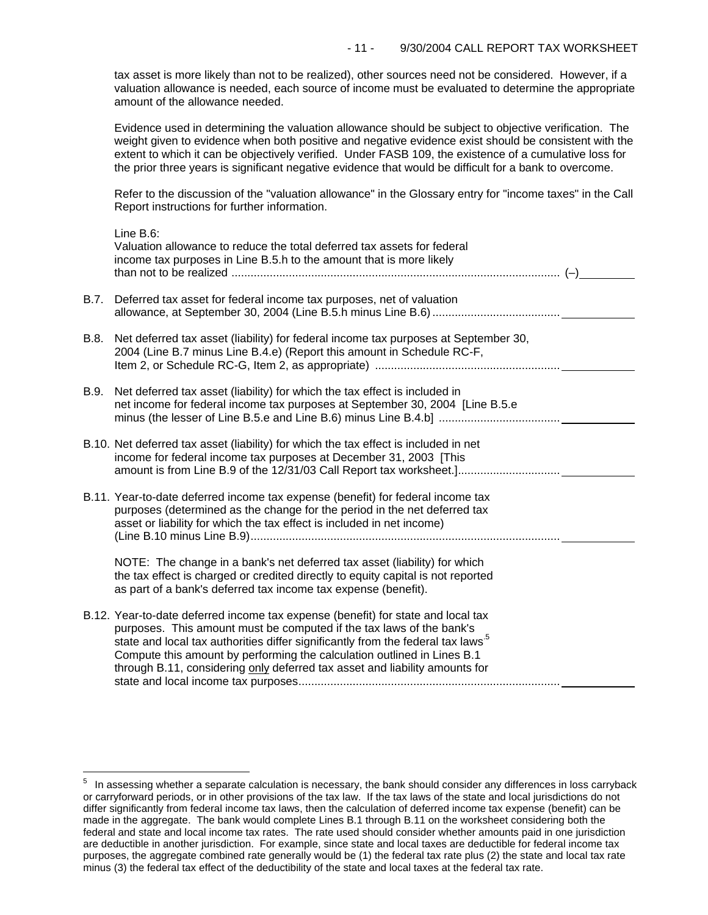tax asset is more likely than not to be realized), other sources need not be considered. However, if a valuation allowance is needed, each source of income must be evaluated to determine the appropriate amount of the allowance needed.

Evidence used in determining the valuation allowance should be subject to objective verification. The weight given to evidence when both positive and negative evidence exist should be consistent with the extent to which it can be objectively verified. Under FASB 109, the existence of a cumulative loss for the prior three years is significant negative evidence that would be difficult for a bank to overcome.

Refer to the discussion of the "valuation allowance" in the Glossary entry for "income taxes" in the Call Report instructions for further information.

|      | Line B.6:<br>Valuation allowance to reduce the total deferred tax assets for federal<br>income tax purposes in Line B.5.h to the amount that is more likely                                                                                                                                                                                                                                                       |  |
|------|-------------------------------------------------------------------------------------------------------------------------------------------------------------------------------------------------------------------------------------------------------------------------------------------------------------------------------------------------------------------------------------------------------------------|--|
| B.7. | Deferred tax asset for federal income tax purposes, net of valuation                                                                                                                                                                                                                                                                                                                                              |  |
| B.8. | Net deferred tax asset (liability) for federal income tax purposes at September 30,<br>2004 (Line B.7 minus Line B.4.e) (Report this amount in Schedule RC-F,                                                                                                                                                                                                                                                     |  |
| B.9. | Net deferred tax asset (liability) for which the tax effect is included in<br>net income for federal income tax purposes at September 30, 2004 [Line B.5.e                                                                                                                                                                                                                                                        |  |
|      | B.10. Net deferred tax asset (liability) for which the tax effect is included in net<br>income for federal income tax purposes at December 31, 2003 [This<br>amount is from Line B.9 of the 12/31/03 Call Report tax worksheet.]                                                                                                                                                                                  |  |
|      | B.11. Year-to-date deferred income tax expense (benefit) for federal income tax<br>purposes (determined as the change for the period in the net deferred tax<br>asset or liability for which the tax effect is included in net income)                                                                                                                                                                            |  |
|      | NOTE: The change in a bank's net deferred tax asset (liability) for which<br>the tax effect is charged or credited directly to equity capital is not reported<br>as part of a bank's deferred tax income tax expense (benefit).                                                                                                                                                                                   |  |
|      | B.12. Year-to-date deferred income tax expense (benefit) for state and local tax<br>purposes. This amount must be computed if the tax laws of the bank's<br>state and local tax authorities differ significantly from the federal tax laws <sup>5</sup><br>Compute this amount by performing the calculation outlined in Lines B.1<br>through B.11, considering only deferred tax asset and liability amounts for |  |

i<br>L

 $5$  In assessing whether a separate calculation is necessary, the bank should consider any differences in loss carryback or carryforward periods, or in other provisions of the tax law. If the tax laws of the state and local jurisdictions do not differ significantly from federal income tax laws, then the calculation of deferred income tax expense (benefit) can be made in the aggregate. The bank would complete Lines B.1 through B.11 on the worksheet considering both the federal and state and local income tax rates. The rate used should consider whether amounts paid in one jurisdiction are deductible in another jurisdiction. For example, since state and local taxes are deductible for federal income tax purposes, the aggregate combined rate generally would be (1) the federal tax rate plus (2) the state and local tax rate minus (3) the federal tax effect of the deductibility of the state and local taxes at the federal tax rate.